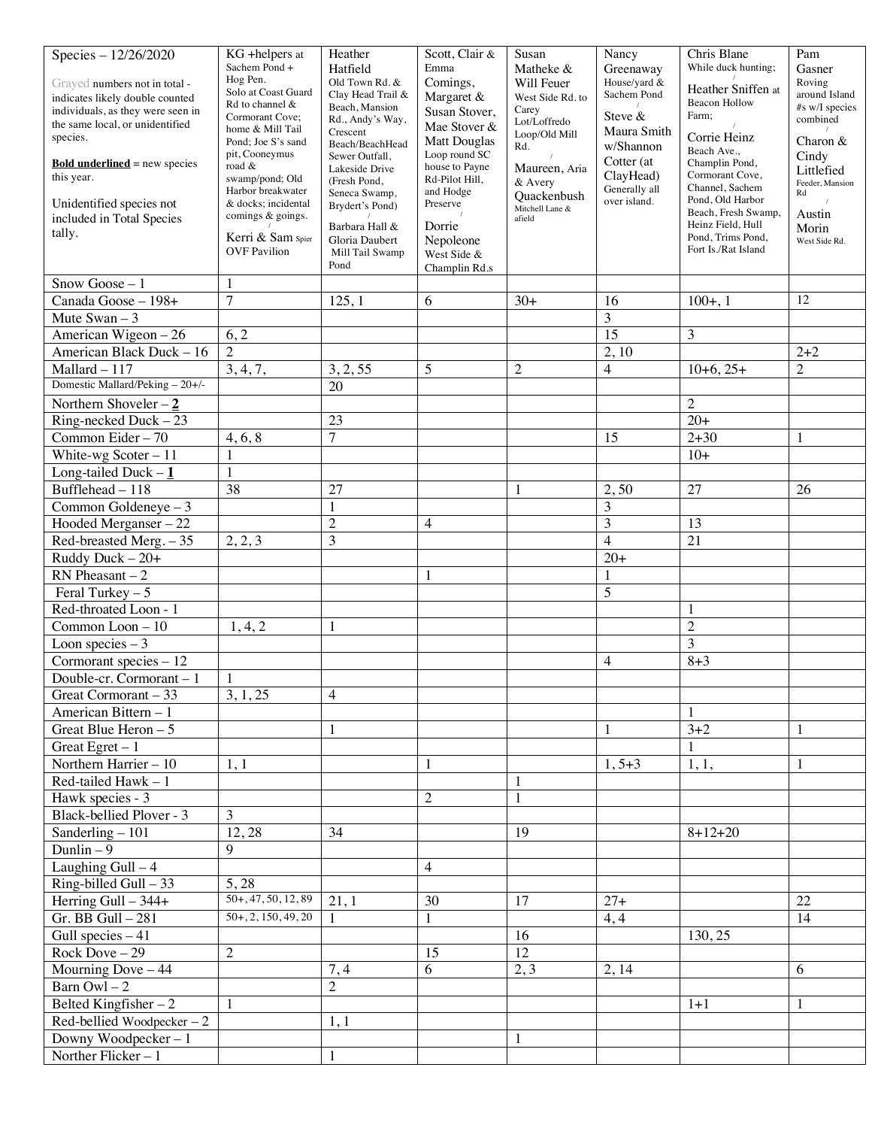| Species - 12/26/2020                                                 | KG +helpers at                         | Heather                                | Scott, Clair &                | Susan                          | Nancy                       | Chris Blane                              | Pam                     |
|----------------------------------------------------------------------|----------------------------------------|----------------------------------------|-------------------------------|--------------------------------|-----------------------------|------------------------------------------|-------------------------|
|                                                                      | Sachem Pond +                          | Hatfield                               | Emma                          | Matheke &                      | Greenaway                   | While duck hunting;                      | Gasner                  |
| Grayed numbers not in total -                                        | Hog Pen.<br>Solo at Coast Guard        | Old Town Rd. $\&$<br>Clay Head Trail & | Comings,                      | Will Feuer                     | House/yard &<br>Sachem Pond | Heather Sniffen at                       | Roving<br>around Island |
| indicates likely double counted<br>individuals, as they were seen in | Rd to channel &                        | Beach, Mansion                         | Margaret &                    | West Side Rd. to<br>Carey      |                             | <b>Beacon Hollow</b>                     | #s w/I species          |
| the same local, or unidentified                                      | Cormorant Cove;                        | Rd., Andy's Way,                       | Susan Stover,<br>Mae Stover & | Lot/Loffredo                   | Steve &                     | Farm;                                    | combined                |
| species.                                                             | home & Mill Tail<br>Pond; Joe S's sand | Crescent<br>Beach/BeachHead            | <b>Matt Douglas</b>           | Loop/Old Mill                  | Maura Smith                 | Corrie Heinz                             | Charon &                |
|                                                                      | pit, Cooneymus                         | Sewer Outfall,                         | Loop round SC                 | Rd.                            | w/Shannon                   | Beach Ave.,                              | Cindy                   |
| <b>Bold underlined</b> = new species<br>this year.                   | road &                                 | Lakeside Drive                         | house to Payne                | Maureen, Aria                  | Cotter (at<br>ClayHead)     | Champlin Pond,<br>Cormorant Cove,        | Littlefied              |
|                                                                      | swamp/pond; Old<br>Harbor breakwater   | (Fresh Pond,<br>Seneca Swamp,          | Rd-Pilot Hill,<br>and Hodge   | & Avery                        | Generally all               | Channel, Sachem                          | Feeder, Mansion<br>Rd   |
| Unidentified species not                                             | & docks: incidental                    | Brydert's Pond)                        | Preserve                      | Quackenbush<br>Mitchell Lane & | over island.                | Pond, Old Harbor                         |                         |
| included in Total Species                                            | comings & goings.                      | Barbara Hall &                         | Dorrie                        | afield                         |                             | Beach, Fresh Swamp,<br>Heinz Field, Hull | Austin                  |
| tally.                                                               | Kerri & Sam Spier                      | Gloria Daubert                         | Nepoleone                     |                                |                             | Pond, Trims Pond,                        | Morin<br>West Side Rd.  |
|                                                                      | <b>OVF Pavilion</b>                    | Mill Tail Swamp                        | West Side &                   |                                |                             | Fort Is./Rat Island                      |                         |
|                                                                      |                                        | Pond                                   | Champlin Rd.s                 |                                |                             |                                          |                         |
| Snow Goose $-1$                                                      | 1                                      |                                        |                               |                                |                             |                                          |                         |
| Canada Goose - 198+                                                  | $\overline{7}$                         | 125, 1                                 | 6                             | $30+$                          | 16                          | $100+, 1$                                | 12                      |
| Mute Swan $-3$                                                       |                                        |                                        |                               |                                | 3                           |                                          |                         |
| American Wigeon - 26                                                 | 6, 2                                   |                                        |                               |                                | $\overline{15}$             | 3                                        |                         |
| American Black Duck - 16                                             | $\overline{2}$                         |                                        |                               |                                | 2, 10                       |                                          | $2 + 2$                 |
| $Mallard - 117$                                                      | 3, 4, 7,                               | 3, 2, 55                               | 5                             | $\overline{c}$                 | $\overline{4}$              | $10+6, 25+$                              | $\overline{2}$          |
| Domestic Mallard/Peking - 20+/-                                      |                                        | 20                                     |                               |                                |                             |                                          |                         |
| Northern Shoveler $-\underline{2}$                                   |                                        |                                        |                               |                                |                             | $\overline{c}$                           |                         |
| $Ring$ -necked Duck – 23                                             |                                        | 23                                     |                               |                                |                             | $20+$                                    |                         |
| Common Eider $-70$                                                   | 4, 6, 8                                | $\overline{7}$                         |                               |                                | 15                          | $2 + 30$                                 |                         |
| White-wg Scoter $-11$                                                | 1                                      |                                        |                               |                                |                             | $10+$                                    |                         |
| Long-tailed Duck $-1$                                                | $\mathbf{1}$                           |                                        |                               |                                |                             |                                          |                         |
| Bufflehead - 118                                                     | 38                                     | 27                                     |                               | 1                              | 2,50                        | 27                                       | 26                      |
| Common Goldeneye $-3$                                                |                                        | $\mathbf{1}$                           |                               |                                | 3                           |                                          |                         |
| Hooded Merganser - 22                                                |                                        | $\overline{2}$                         | 4                             |                                | 3                           | 13                                       |                         |
| Red-breasted Merg. - 35                                              | 2, 2, 3                                | 3                                      |                               |                                | $\overline{4}$              | 21                                       |                         |
| Ruddy Duck $-20+$                                                    |                                        |                                        |                               |                                | $20+$                       |                                          |                         |
| $RN$ Pheasant $-2$                                                   |                                        |                                        |                               |                                |                             |                                          |                         |
| Feral Turkey $-5$                                                    |                                        |                                        |                               |                                | 5                           |                                          |                         |
| Red-throated Loon - 1                                                |                                        |                                        |                               |                                |                             |                                          |                         |
| Common Loon - 10                                                     | 1, 4, 2                                | 1                                      |                               |                                |                             | $\overline{c}$                           |                         |
| Loon species $-3$                                                    |                                        |                                        |                               |                                |                             | 3                                        |                         |
| Cormorant species - 12                                               |                                        |                                        |                               |                                | $\overline{4}$              | $8 + 3$                                  |                         |
| Double-cr. Cormorant - 1                                             | 1                                      |                                        |                               |                                |                             |                                          |                         |
| Great Cormorant - 33                                                 | 3, 1, 25                               | $\overline{4}$                         |                               |                                |                             |                                          |                         |
| American Bittern - 1                                                 |                                        |                                        |                               |                                |                             | 1                                        |                         |
| Great Blue Heron $-5$                                                |                                        | $\mathbf{1}$                           |                               |                                | $\mathbf{1}$                | $3 + 2$                                  | 1                       |
| Great Egret $-1$                                                     |                                        |                                        |                               |                                |                             | 1                                        |                         |
| Northern Harrier $-10$                                               | 1,1                                    |                                        | 1                             |                                | $1, 5+3$                    | 1, 1,                                    | 1                       |
| Red-tailed Hawk $-1$                                                 |                                        |                                        |                               | 1                              |                             |                                          |                         |
| Hawk species - 3                                                     |                                        |                                        | $\mathfrak{2}$                | 1                              |                             |                                          |                         |
| Black-bellied Plover - 3                                             | 3                                      |                                        |                               |                                |                             |                                          |                         |
| Sanderling $-101$                                                    | 12,28                                  | 34                                     |                               | 19                             |                             | $8 + 12 + 20$                            |                         |
| Dunlin $-\overline{9}$                                               | 9                                      |                                        |                               |                                |                             |                                          |                         |
| Laughing $Gull - 4$                                                  |                                        |                                        | 4                             |                                |                             |                                          |                         |
| $Ring$ -billed Gull $-33$                                            | 5, 28                                  |                                        |                               |                                |                             |                                          |                         |
| Herring Gull $-344+$                                                 | $50+, 47, 50, 12, 89$                  | 21, 1                                  | 30                            | 17                             | $27 +$                      |                                          | 22                      |
| $Gr.$ BB $Gull - 281$                                                | $50+, 2, 150, 49, 20$                  | $\mathbf{1}$                           | $\mathbf{1}$                  |                                | 4, 4                        |                                          | 14                      |
| Gull species $-41$                                                   |                                        |                                        |                               | 16                             |                             | 130, 25                                  |                         |
| Rock Dove $-29$                                                      | $\overline{2}$                         |                                        | 15                            | 12                             |                             |                                          |                         |
| Mourning Dove $-44$                                                  |                                        | 7,4                                    | 6                             | 2, 3                           | 2, 14                       |                                          | 6                       |
| Barn Owl $-2$                                                        |                                        | $\overline{2}$                         |                               |                                |                             |                                          |                         |
| Belted Kingfisher $-2$                                               | $\mathbf{1}$                           |                                        |                               |                                |                             | $1 + 1$                                  | 1                       |
| Red-bellied Woodpecker $-2$                                          |                                        | 1,1                                    |                               |                                |                             |                                          |                         |
| Downy Woodpecker-1                                                   |                                        |                                        |                               | 1                              |                             |                                          |                         |
| Norther Flicker-1                                                    |                                        | $\mathbf{1}$                           |                               |                                |                             |                                          |                         |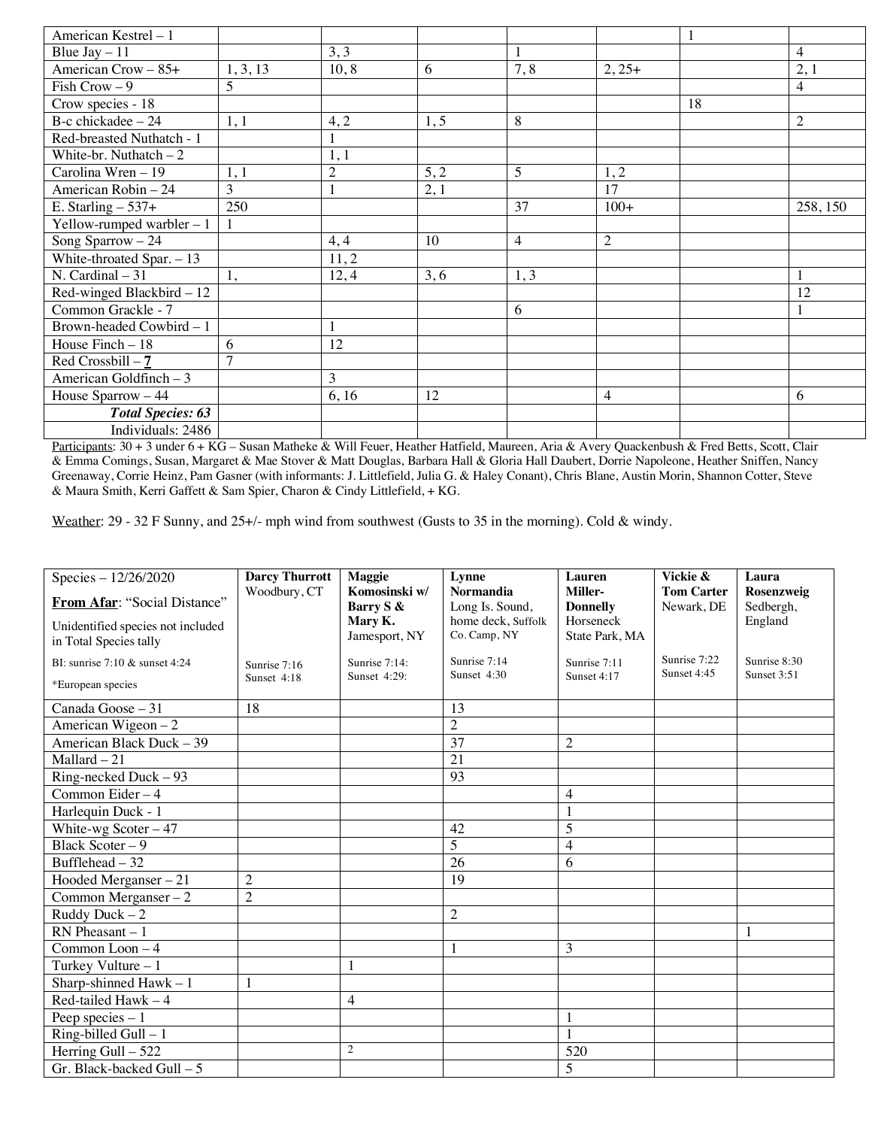| American Kestrel - 1           |          |                |      |                |                |    |          |
|--------------------------------|----------|----------------|------|----------------|----------------|----|----------|
| Blue $\text{Jay} - 11$         |          | 3, 3           |      |                |                |    | 4        |
| American Crow - 85+            | 1, 3, 13 | 10, 8          | 6    | 7,8            | $2, 25+$       |    | 2,1      |
| Fish Crow $-9$                 | 5        |                |      |                |                |    | 4        |
| Crow species - 18              |          |                |      |                |                | 18 |          |
| B-c chickadee $-24$            | 1, 1     | 4, 2           | 1, 5 | 8              |                |    | 2        |
| Red-breasted Nuthatch - 1      |          |                |      |                |                |    |          |
| White-br. Nuthatch $-2$        |          | 1,1            |      |                |                |    |          |
| Carolina Wren - 19             | 1, 1     | $\mathfrak{2}$ | 5, 2 | 5              | 1,2            |    |          |
| American Robin - 24            | 3        |                | 2,1  |                | 17             |    |          |
| E. Starling $-537+$            | 250      |                |      | 37             | $100+$         |    | 258, 150 |
| Yellow-rumped warbler $-1$     |          |                |      |                |                |    |          |
| Song Sparrow $-24$             |          | 4, 4           | 10   | $\overline{4}$ | $\overline{2}$ |    |          |
| White-throated Spar. $-13$     |          | 11,2           |      |                |                |    |          |
| N. Cardinal $-31$              | 1,       | 12, 4          | 3, 6 | 1, 3           |                |    |          |
| Red-winged Blackbird - 12      |          |                |      |                |                |    | 12       |
| Common Grackle - 7             |          |                |      | 6              |                |    |          |
| Brown-headed Cowbird - 1       |          | $\mathbf{1}$   |      |                |                |    |          |
| House Finch - 18               | 6        | 12             |      |                |                |    |          |
| Red Crossbill $-\underline{7}$ | 7        |                |      |                |                |    |          |
| American Goldfinch - 3         |          | 3              |      |                |                |    |          |
| House Sparrow - 44             |          | 6, 16          | 12   |                | 4              |    | 6        |
| <b>Total Species: 63</b>       |          |                |      |                |                |    |          |
| Individuals: 2486              |          |                |      |                |                |    |          |

Participants: 30 + 3 under 6 + KG – Susan Matheke & Will Feuer, Heather Hatfield, Maureen, Aria & Avery Quackenbush & Fred Betts, Scott, Clair & Emma Comings, Susan, Margaret & Mae Stover & Matt Douglas, Barbara Hall & Gloria Hall Daubert, Dorrie Napoleone, Heather Sniffen, Nancy Greenaway, Corrie Heinz, Pam Gasner (with informants: J. Littlefield, Julia G. & Haley Conant), Chris Blane, Austin Morin, Shannon Cotter, Steve & Maura Smith, Kerri Gaffett & Sam Spier, Charon & Cindy Littlefield, + KG.

Weather: 29 - 32 F Sunny, and 25+/- mph wind from southwest (Gusts to 35 in the morning). Cold & windy.

| Species - 12/26/2020                                        | <b>Darcy Thurrott</b>       | Maggie                        | Lynne                               | Lauren                      | Vickie &                        | Laura                   |
|-------------------------------------------------------------|-----------------------------|-------------------------------|-------------------------------------|-----------------------------|---------------------------------|-------------------------|
| From Afar: "Social Distance"                                | Woodbury, CT                | Komosinski w/<br>Barry S &    | <b>Normandia</b><br>Long Is. Sound, | Miller-<br><b>Donnelly</b>  | <b>Tom Carter</b><br>Newark, DE | Rosenzweig<br>Sedbergh, |
|                                                             |                             | Mary K.                       | home deck, Suffolk                  | Horseneck                   |                                 | England                 |
| Unidentified species not included<br>in Total Species tally |                             | Jamesport, NY                 | Co. Camp, NY                        | State Park, MA              |                                 |                         |
|                                                             |                             |                               | Sunrise 7:14                        |                             | Sunrise 7:22                    | Sunrise 8:30            |
| BI: sunrise $7:10 \&$ sunset $4:24$                         | Sunrise 7:16<br>Sunset 4:18 | Sunrise 7:14:<br>Sunset 4:29: | Sunset $4:30$                       | Sunrise 7:11<br>Sunset 4:17 | Sunset 4:45                     | Sunset $3:51$           |
| *European species                                           |                             |                               |                                     |                             |                                 |                         |
| Canada Goose - 31                                           | 18                          |                               | 13                                  |                             |                                 |                         |
| American Wigeon - 2                                         |                             |                               | $\overline{2}$                      |                             |                                 |                         |
| American Black Duck - 39                                    |                             |                               | 37                                  | $\mathfrak{2}$              |                                 |                         |
| $Mallard - 21$                                              |                             |                               | 21                                  |                             |                                 |                         |
| Ring-necked Duck - 93                                       |                             |                               | 93                                  |                             |                                 |                         |
| Common Eider-4                                              |                             |                               |                                     | 4                           |                                 |                         |
| Harlequin Duck - 1                                          |                             |                               |                                     |                             |                                 |                         |
| White-wg Scoter $-47$                                       |                             |                               | 42                                  | 5                           |                                 |                         |
| Black Scoter - 9                                            |                             |                               | $\overline{5}$                      | 4                           |                                 |                         |
| Bufflehead $-32$                                            |                             |                               | 26                                  | 6                           |                                 |                         |
| Hooded Merganser $-21$                                      | $\overline{2}$              |                               | 19                                  |                             |                                 |                         |
| Common Merganser $-2$                                       | $\overline{2}$              |                               |                                     |                             |                                 |                         |
| Ruddy Duck $-2$                                             |                             |                               | $\mathfrak{2}$                      |                             |                                 |                         |
| $RN$ Pheasant $-1$                                          |                             |                               |                                     |                             |                                 | 1                       |
| Common Loon - 4                                             |                             |                               | 1                                   | 3                           |                                 |                         |
| Turkey Vulture - 1                                          |                             |                               |                                     |                             |                                 |                         |
| Sharp-shinned Hawk $-1$                                     | 1                           |                               |                                     |                             |                                 |                         |
| Red-tailed Hawk $-4$                                        |                             | 4                             |                                     |                             |                                 |                         |
| Peep species $-1$                                           |                             |                               |                                     |                             |                                 |                         |
| $Ring$ -billed Gull $-1$                                    |                             |                               |                                     |                             |                                 |                         |
| Herring Gull - 522                                          |                             | $\overline{2}$                |                                     | 520                         |                                 |                         |
| Gr. Black-backed Gull - 5                                   |                             |                               |                                     | 5                           |                                 |                         |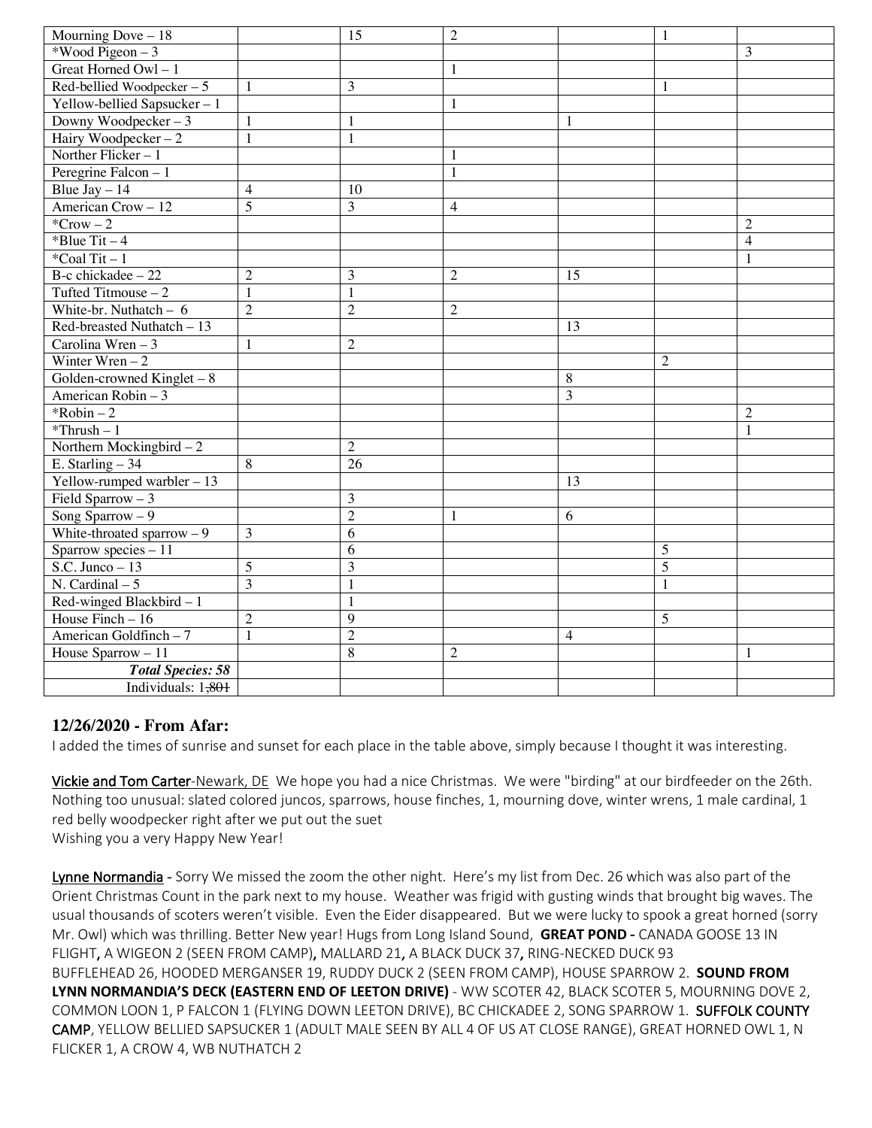| Mourning Dove $-18$         |                | 15             | $\overline{2}$ |                | $\mathbf{1}$   |                |
|-----------------------------|----------------|----------------|----------------|----------------|----------------|----------------|
| *Wood Pigeon $-3$           |                |                |                |                |                | 3              |
| Great Horned Owl $-1$       |                |                | $\mathbf{1}$   |                |                |                |
| Red-bellied Woodpecker $-5$ | $\mathbf{1}$   | 3              |                |                | 1              |                |
| Yellow-bellied Sapsucker-1  |                |                | $\mathbf{1}$   |                |                |                |
| Downy Woodpecker $-3$       | 1              | 1              |                | $\mathbf{1}$   |                |                |
| Hairy Woodpecker $-2$       | $\mathbf{1}$   | 1              |                |                |                |                |
| Norther Flicker-1           |                |                | 1              |                |                |                |
| Peregrine Falcon $-1$       |                |                | $\mathbf{1}$   |                |                |                |
| Blue $\text{Jay} - 14$      | $\overline{4}$ | 10             |                |                |                |                |
| American Crow - 12          | 5              | 3              | $\overline{4}$ |                |                |                |
| ${}^*Crow - 2$              |                |                |                |                |                | $\overline{2}$ |
| *Blue Tit $-4$              |                |                |                |                |                | $\overline{4}$ |
| *Coal Tit $-1$              |                |                |                |                |                | 1              |
| $B-c$ chickadee $-22$       | $\overline{2}$ | 3              | $\overline{2}$ | 15             |                |                |
| Tufted Titmouse $-2$        | $\mathbf{1}$   | 1              |                |                |                |                |
| White-br. Nuthatch $-6$     | $\overline{2}$ | $\overline{2}$ | $\overline{2}$ |                |                |                |
| Red-breasted Nuthatch $-13$ |                |                |                | 13             |                |                |
| Carolina Wren $-3$          | $\mathbf{1}$   | $\overline{c}$ |                |                |                |                |
| Winter Wren $-2$            |                |                |                |                | $\mathfrak{2}$ |                |
| Golden-crowned Kinglet $-8$ |                |                |                | 8              |                |                |
| American Robin - 3          |                |                |                | 3              |                |                |
| $*Robin - 2$                |                |                |                |                |                | $\overline{2}$ |
| $*$ Thrush - 1              |                |                |                |                |                | $\mathbf{1}$   |
| Northern Mockingbird $-2$   |                | $\overline{c}$ |                |                |                |                |
| E. Starling $-34$           | 8              | 26             |                |                |                |                |
| Yellow-rumped warbler $-13$ |                |                |                | 13             |                |                |
| Field Sparrow $-3$          |                | 3              |                |                |                |                |
| Song Sparrow $-9$           |                | $\overline{c}$ | 1              | 6              |                |                |
| White-throated sparrow $-9$ | 3              | 6              |                |                |                |                |
| Sparrow species - 11        |                | 6              |                |                | 5              |                |
| $S.C. Junco-13$             | 5              | 3              |                |                | $\overline{5}$ |                |
| N. Cardinal $-5$            | 3              | 1              |                |                | $\mathbf{1}$   |                |
| Red-winged Blackbird - 1    |                | 1              |                |                |                |                |
| House Finch $-16$           | $\overline{2}$ | 9              |                |                | 5              |                |
| American Goldfinch - 7      | $\mathbf{1}$   | $\overline{c}$ |                | $\overline{4}$ |                |                |
| House $Sparrow - 11$        |                | 8              | $\overline{2}$ |                |                | $\mathbf{1}$   |
| <b>Total Species: 58</b>    |                |                |                |                |                |                |
| Individuals: 1,801          |                |                |                |                |                |                |

## **12/26/2020 - From Afar:**

I added the times of sunrise and sunset for each place in the table above, simply because I thought it was interesting.

Vickie and Tom Carter-Newark, DE We hope you had a nice Christmas. We were "birding" at our birdfeeder on the 26th. Nothing too unusual: slated colored juncos, sparrows, house finches, 1, mourning dove, winter wrens, 1 male cardinal, 1 red belly woodpecker right after we put out the suet Wishing you a very Happy New Year!

Lynne Normandia - Sorry We missed the zoom the other night. Here's my list from Dec. 26 which was also part of the Orient Christmas Count in the park next to my house. Weather was frigid with gusting winds that brought big waves. The usual thousands of scoters weren't visible. Even the Eider disappeared. But we were lucky to spook a great horned (sorry Mr. Owl) which was thrilling. Better New year! Hugs from Long Island Sound, **GREAT POND** - CANADA GOOSE 13 IN FLIGHT, A WIGEON 2 (SEEN FROM CAMP), MALLARD 21, A BLACK DUCK 37, RING-NECKED DUCK 93 BUFFLEHEAD 26, HOODED MERGANSER 19, RUDDY DUCK 2 (SEEN FROM CAMP), HOUSE SPARROW 2. **SOUND FROM LYNN NORMANDIA'S DECK (EASTERN END OF LEETON DRIVE)** - WW SCOTER 42, BLACK SCOTER 5, MOURNING DOVE 2, COMMON LOON 1, P FALCON 1 (FLYING DOWN LEETON DRIVE), BC CHICKADEE 2, SONG SPARROW 1. SUFFOLK COUNTY CAMP, YELLOW BELLIED SAPSUCKER 1 (ADULT MALE SEEN BY ALL 4 OF US AT CLOSE RANGE), GREAT HORNED OWL 1, N FLICKER 1, A CROW 4, WB NUTHATCH 2